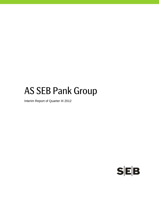# AS SEB Pank Group

Interim Report of Quarter III 2012

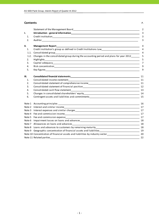#### **Contents** P.

|        | Statement of the Management Board Statement of the Statement of the Management Board                                                | 2              |
|--------|-------------------------------------------------------------------------------------------------------------------------------------|----------------|
| I.     |                                                                                                                                     | 3              |
| 1.     |                                                                                                                                     | 3              |
| 2.     |                                                                                                                                     | 3              |
| II.    | <b>Management Report</b>                                                                                                            | 4              |
| 1.     | Credit institution's group as defined in Credit Institutions Law___________________________________                                 | 4              |
| 1.1.   |                                                                                                                                     | $\overline{4}$ |
| 1.2.   | Changes in the consolidated group during the accounting period and plans for year 2012                                              | 5              |
| 2.     | Highlights_<br><u> 1989 - Johann Stoff, amerikan besteht fan de ferstjer fan de ferstjer fan de ferstjer fan de ferstjer fan de</u> | 5              |
| 3.     |                                                                                                                                     | $\overline{7}$ |
| 4.     |                                                                                                                                     | 9              |
| 5.     |                                                                                                                                     | 9              |
| Ш.     |                                                                                                                                     | 11             |
| 1.     | Consolidated income statement                                                                                                       |                |
| 2.     | Consolidated statement of comprehensive income<br>11                                                                                |                |
| 3.     |                                                                                                                                     |                |
| 4.     |                                                                                                                                     | 13             |
| 5.     |                                                                                                                                     |                |
| 6.     | Contingent assets and liabilities and commitments _______________________________                                                   | 15             |
|        |                                                                                                                                     | 16             |
|        |                                                                                                                                     | 17             |
| Note 3 |                                                                                                                                     |                |
|        |                                                                                                                                     |                |
|        |                                                                                                                                     |                |
|        |                                                                                                                                     | 18             |
|        |                                                                                                                                     | 18             |
|        |                                                                                                                                     |                |
|        | Note 9 Geographic concentration of financial assets and liabilities_________________________________ 19                             |                |
|        | Note 10 Concentration of financial assets and liabilities by industry sector_________________________________20                     |                |
|        |                                                                                                                                     | 22             |
|        |                                                                                                                                     |                |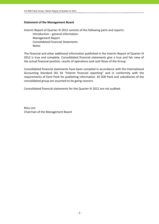# **Statement of the Management Board**

Interim Report of Quarter III 2012 consists of the following parts and reports: Introduction – general information Management Report Consolidated Financial Statements Notes

The financial and other additional information published in the Interim Report of Quarter III 2012 is true and complete. Consolidated financial statements give a true and fair view of the actual financial position, results of operations and cash flows of the Group.

Consolidated financial statements have been compiled in accordance with the International Accounting Standard IAS 34 "Interim financial reporting" and in conformity with the requirements of Eesti Pank for publishing information. AS SEB Pank and subsidiaries of the consolidated group are assumed to be going concern.

Consolidated financial statements for the Quarter III 2012 are not audited.

Riho Unt Chairman of the Management Board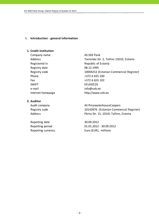#### **I. Introduction ‐ general information**

# **1. Credit institution**

Company name AS SEB Pank Registered in Republic of Estonia Registry date 08.12.1995 Phone  $+3726655100$ Fax  $+3726655102$ SWIFT SWIFT ENGINEERING THE STREET e-mail info@seb.ee Internet homepage http://www.seb.ee

# **2. Auditor**

Reporting date 30.09.2012

Address Tornimäe Str. 2, Tallinn 15010, Estonia Registry code 10004252 (Estonian Commercial Register)

Audit company and all the AS PricewaterhouseCoopers Registry code 10142876 (Estonian Commercial Register) Address Pärnu Str. 15, 10141 Tallinn, Estonia

Reporting period 01.01.2012 - 30.09.2012 Reporting currency Euro (EUR), millions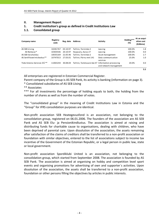# **II. Management Report**

# **1. Credit institution's group as defined in Credit Institutions Law**

# **1.1. Consolidated group**

| Company name                            | Registry<br>code | Reg. date | <b>Address</b>                                   | <b>Activity</b>                | Holding***<br>(%) | At an acqui-<br>sition cost<br>(EURmio) |
|-----------------------------------------|------------------|-----------|--------------------------------------------------|--------------------------------|-------------------|-----------------------------------------|
| AS SEB Liising                          | 10281767         | 03.10.97  | Tallinn, Tornimäe 2                              | Leasing                        | 100.0%            | 1.8                                     |
| AS Rentacar*                            | 10303546         | 20.10.97  | Haapsalu, Karja 27                               | Leasing                        | 100.0%            | 0.0                                     |
| AS SEB Varahaldus                       | 10035169         | 22.05.96  | Tallinn. Tornimäe 2                              | Asset management               | 100.0%            | 2.7                                     |
| AS Sertifits eerimiskeskus**            | 10747013         | 27.03.01  | Tallinn, Pärnu mnt 141                           | Data communication<br>services | 25.0%             | 1.0                                     |
| Tieto Estonia Services OÜ <sup>**</sup> | 11065244         | 30.08.04  | Tallinn, Tammsaare tee 47 Information processing | and network management         | 20.0%             | 0.0                                     |
|                                         |                  |           |                                                  |                                |                   | 5.5                                     |

All enterprises are registered in Estonian Commercial Register.

Parent company of the Group is AS SEB Pank, its activity is banking (information on page 3).

\* Consolidated subsidiaries of AS SEB Liising

\*\* Associates

\*\*\* For all investments the percentage of holding equals to both, the holding from the number of shares as well as from the number of votes.

The "consolidated group" in the meaning of Credit Institutions Law in Estonia and the "Group" for IFRS consolidation purposes are identical.

Non‐profit association SEB Heategevusfond is an association, not belonging to the consolidation group, registered on 06.01.2006. The founders of the association are AS SEB Pank and AS SEB Elu- ja Pensionikindlustus. The association is aimed at raising and distributing funds for charitable cause to organisations, dealing with children, who have been deprived of parental care. Upon dissolution of the association, the assets remaining after satisfaction of the claims of creditors shall be transferred to a non‐profit association or foundation with similar objectives, entered to the list of associations subject to income tax incentive of the Government of the Estonian Republic, or a legal person in public law, state or local government.

Non‐profit association Spordiklubi United is an association, not belonging to the consolidation group, which started from September 2008. The association is founded by AS SEB Pank. The association is aimed at organising on hobby and competition level sport events and organising promotions for advertising of own and supporter´s activities. Upon dissolution of the association, the assets shall be transferred to a non‐profit association, foundation or other persons filling the objectives by articles in public interests.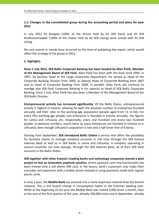# **1.2. Changes in the consolidated group during the accounting period and plans for year 2012**

In July 2012 AS Bangalo (100% of the shares held by AS SEB Pank) and AS SEB Kindlustusmaakler (100% of the shares held by AS SEB Liising) were united with AS SEB Liising .

No such events or trends have occurred by the time of publishing the report, which would affect the strategy of the group in 2012.

# **2. Highlights**

**Since 1 July 2012, SEB Baltic Corporate Banking has been headed by Allan Parik, Member of the Management Board of SEB Eesti.** Allan Parik has been with the bank since 1995. In 1997, he became Head of the Large Corporates Department. He served as Head of the Corporate Banking Division from 2000, as Deputy Head of Corporate Banking from 2007 and as Head of Corporate Banking from 2009. In parallel, Allan Parik will continue to manage also SEB Eesti Corporate Banking in his capacity as Head of SEB Baltic Corporate Banking. Since 1 July, Allan Parik has also been a Member of the Management Board of the SEB Baltic Division.

**Entrepreneurial activity has increased significantly**. Of the Baltic States, entrepreneurial activity is highest in Estonia, allowing for both the absolute number of enterprises founded annually and their ratio to the working‐age population (people aged from 15 to 64). For every fifty working‐age people, one enterprise is founded in Estonia annually; the figures for Latvia and Lithuania are, respectively, every one hundred and every two hundred people. In absolute numbers, nearly twice as many enterprises are founded in Estonia as in Lithuania, even though Lithuania's population is two and a half times that of Estonia.

Starting from September, **SEB introduced Baltic Online** a service that offers the possibility for business clients to manage company accounts in real time through the SEB Estonia Internet Bank as well as in SEB banks in Latvia and Lithuania. A company operating in several countries can now manage, through the SEB Internet Bank, all of their SEB bank accounts in the Baltic States.

**SEB together with other Estonia's leading banks and technology companies started a pilot project to test an innovative payment solution,** where payment card chip functionality has been moved onto a cell phone SIM card. In the future, bank's customers may make their everyday card payments with a mobile phone instead of using payments made with regular plastic cards.

In only a year, the **Mobile Bank** has evolved into a more important channel than the branch network. This is the fastest change in consumption habits in the Estonian banking ever. While at the beginning of last year the Mobile Bank was visited 2,000 times a month, then at the end of the first quarter of this year, already 100,000 times and in September, already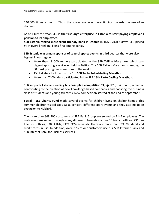240,000 times a month. Thus, the scales are ever more tipping towards the use of e‐ channels.

As of 1 July this year, **SEB is the first large enterprise in Estonia to start paying employer's pension to its employees**.

**SEB Estonia ranked most client friendly bank in Estonia** in TNS EMOR Survey. SEB placed #4 in overall ranking, being first among banks.

**SEB Estonia was a main sponsor of several sports events** in third quarter that were also biggest in our region:

- More than 18 000 runners participated in the **SEB Tallinn Marathon**, which was biggest sporting event ever held in Baltics. The SEB Tallinn Marathon is among the 50 most prestigious marathons in the world.
- 1531 skaters took part in the 6th **SEB Tartu Rollerblading Marathon**.
- More than 7400 riders participated in the **SEB 15th Tartu Cycling Marathon**.

SEB supports Estonia's leading **business plan competition "Ajujaht"** (Brain hunt), aimed at contributing to the creation of new knowledge‐based companies and boosting the business skills of students and young scientists. New competition started at the end of September.

**Social − SEB Charity Fund** made several events for children living on shelter homes. This summer children visited Lady Gaga concert, different sport events and they also made an excursion to Helsinki.

The more than 848 300 customers of SEB Pank Group are served by 1144 employees. The customers are served through many different channels such as 36 branch offices, 231 on‐ line post offices, 338 ATMs, 7121 POS-terminals. There are more than 524 700 debit and credit cards in use. In addition, over 76% of our customers use our SEB Internet Bank and SEB Internet Bank for Business services.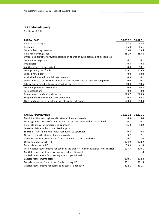# **3. Capital adequacy**

| <b>CAPITAL BASE</b>                                                             | 30.09.12 | 31.12.11 |
|---------------------------------------------------------------------------------|----------|----------|
| Paid-in share capital                                                           | 42.5     | 42.5     |
| Premium                                                                         | 86.3     | 86.1     |
| General banking reserves                                                        | 19.4     | 19.5     |
| Retained earnings / loss                                                        | 481.9    | 383.8    |
| Unrealised profit for previous periods on shares of subsidiaries and associated |          |          |
| companies (negative)                                                            | $-0.1$   | $-0.1$   |
| Intangibles                                                                     | $-0.3$   | $-0.4$   |
| Audited profit for the period                                                   | 0.0      | 98.1     |
| Total primary own funds                                                         | 629.7    | 629.5    |
| Subordinated debt                                                               | 0.0      | 50.0     |
| Available for sale financial instruments                                        | 0.3      | 0.1      |
| Unrealised part of profit on shares of subsidiaries and associated companies    | 0.0      | 0.1      |
| Allowances and adjustments exceeding expected loss                              | 10.3     | 10.6     |
| Total supplementary own funds                                                   | 10.6     | 60.8     |
| <b>Total deductions</b>                                                         | 0.0      | 0.0      |
| Primary own funds after deductions                                              | 629.7    | 629.5    |
| Supplementary own funds after deductions                                        | 10.6     | 60.8     |
| Own funds included in calculation of capital adequacy                           | 640.3    | 690.3    |

| <b>CAPITAL REQUIREMENTS</b>                                                          | 30.09.12 | 31.12.11 |
|--------------------------------------------------------------------------------------|----------|----------|
| Municipalities and regions with standardised approach                                | 6.3      | 5.4      |
| State agencies, non-profit institutions and associations with standardised           | 0.1      | 0.1      |
| Retail claims with standardised approach                                             | 15.0     | 13.9     |
| Overdue claims with standardised approach                                            | 1.1      | 1.2      |
| Shares of investment funds with standardised approach                                | 0.4      | 0.4      |
| Other assets with standardised approach                                              | 3.2      | 2.1      |
| Credit institutions, investment firms and municipalities with IRB                    | 6.8      | 7.0      |
| Other companies with IRB                                                             | 124.9    | 128.2    |
| Retail claims with IRB                                                               | 39.9     | 41.8     |
| Total capital requirements for covering the credit risk and counterparty credit risk | 197.7    | 200.1    |
| Capital requirement for covering interest position risk                              | 1.1      | 1.0      |
| Capital requirement for covering AMA of operational risk                             | 11.7     | 11.2     |
| Capital requirements total                                                           | 210.5    | 212.3    |
| Transition period floor of own funds if using IRB                                    | 302.1    | 301.5    |
| Capital requirements for calculating capital adequacy                                | 302.1    | 301.5    |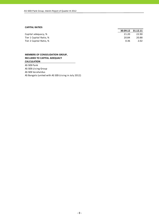#### **CAPITAL RATIOS**

|                         |       | 30.09.12 31.12.11 |
|-------------------------|-------|-------------------|
| Capital adequacy, %     | 21.20 | 22.90             |
| Tier 1 Capital Ratio, % | 20.84 | 20.88             |
| Tier 2 Capital Ratio, % | 0.36  | 2.02              |

#### **MEMBERS OF CONSOLIDATION GROUP, INCLUDED TO CAPITAL ADEQUACY CALCULATION**

AS SEB Pank AS SEB Liising Group AS SEB Varahaldus AS Bangalo (united with AS SEB Liising in July 2012)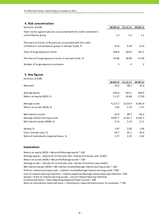# **4. Risk concentration**

| (millions of EUR)                                                                                                      | 30.09.12 | 31.12.11 | 30.09.11 |
|------------------------------------------------------------------------------------------------------------------------|----------|----------|----------|
| Total claims against persons associated with the credit institution's<br>consolidation group                           | 1.2      | 1.3      | 1.1      |
| The share of claims of the persons associated with the credit<br>institution's consolidation group in net own funds, % | 0.19     | 0.18     | 0.19     |
| Total of large exposure claims                                                                                         | 348.8    | 269.0    | 347.2    |
| The share of large exposure claims in net own funds, %                                                                 | 54.48    | 38.98    | 57.00    |
| Number of large exposure customers                                                                                     | 5        | 4        |          |

#### **5. Key figures**

| (millions of EUR)                       |          |          |          |
|-----------------------------------------|----------|----------|----------|
|                                         | 30.09.12 | 31.12.11 | 30.09.11 |
| Net profit                              | 56.2     | 98.1     | 76.2     |
| Average equity                          | 658.9    | 581.1    | 569.9    |
| Return on equity (ROE), %               | 11.37    | 16.88    | 17.83    |
| Average assets                          | 4,115.7  | 4,214.9  | 4,281.9  |
| Return on assets (ROA), %               | 1.82     | 2.33     | 2.37     |
| Net interest income                     | 63.6     | 88.7     | 65.5     |
| Average interest earning assets         | 4,007.7  | 4,101.7  | 4,144.7  |
| Net interest margin (NIM), %            | 2.12     | 2.16     | 2.11     |
| Spread, %                               | 1.97     | 2.00     | 1.96     |
| Cost / Income ratio, %                  | 43.7     | 45.1     | 45.9     |
| Ratio of individually impaired loans, % | 1.57     | 2.25     | 2.65     |

#### **Explanations**

Return on equity (ROE) = Net profit/Average equity \* 100 Average equity = (Equity of current year end + Equity of previous year end)/2 Return on assets (ROA) = Net profit/Average assets \* 100 Average assets = (Assets of current year end + Assets of previous year end)/2 Cost of interest bearing liabilities = Interest expenses/Average interest bearing liabilities \*100 Spread = Yield on interest earning assets ‐ Cost of interest bearing liabilities Cost/Income Ratio = Total Operating Expenses/Total Income \* 100 Ratio of individually impaired loans = Individually impaired loans/Loans to customers \* 100 Net interest margin (NIM) = Net interest income/Average interest earning assets \* 100 Yield on interest earning assets = Interest income/Average interest earning assets \*100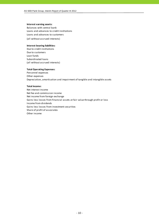#### **Interest earning assets:**

Balances with central bank Loans and advances to credit institutions (all without accrued interests) Loans and advances to customers

#### **Interest bearing liabilities:**

Due to credit institutions Due to customers Loan funds Subordinated loans (all without accrued interests)

#### **Total Operating Expenses:**

Personnel expenses Other expenses Depreciation, amortisation and impairment of tangible and intangible assets

#### **Total Income:**

Net interest income Net fee and commission income Net income from foreign exchange Gains less losses from financial assets at fair value through profit or loss Income from dividends Gains less losses from investment securities Share of profit of associates Other income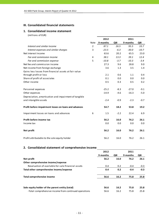# **III. Consolidated financial statements**

# **1. Consolidated income statement**

(millions of EUR)

|                                                       |                | 2012     |        | 2011     |         |
|-------------------------------------------------------|----------------|----------|--------|----------|---------|
|                                                       | Note           | 9 months | QIII   | 9 months | QIII    |
| Interest and similar income                           | $\overline{2}$ | 87.1     | 26.5   | 95.5     | 33.7    |
| Interest expenses and similar charges                 | 3              | $-23.5$  | $-6.3$ | $-30.0$  | $-10.7$ |
| Net Interest Income                                   |                | 63.6     | 20.2   | 65.5     | 23.0    |
| Fee and commission income                             | 4              | 38.1     | 13.3   | 39.1     | 12.4    |
| Fee and commission expense                            | 5              | $-10.8$  | $-3.7$ | $-10.3$  | $-3.4$  |
| Net fee and commission income                         |                | 27.3     | 9.6    | 28.8     | 9.0     |
| Net income from foreign exchange                      |                | 3.6      | 1.3    | 3.5      | 1.4     |
| Gains less losses from financial assets at fair value |                |          |        |          |         |
| through profit or loss                                |                | 2.1      | 0.6    | 1.1      | 0.4     |
| Share of profit of associates                         |                | 0.1      | 0.0    | 0.0      | 0.0     |
| Other income                                          |                | 0.5      | 0.3    | 0.5      | 0.2     |
| Personnel expenses                                    |                | $-25.2$  | $-8.3$ | $-27.0$  | $-9.1$  |
| Other expenses                                        |                | $-14.9$  | $-4.6$ | $-16.3$  | $-5.0$  |
| Depreciation, amortisation and impairment of tangible |                |          |        |          |         |
| and intangible assets                                 |                | $-2.4$   | $-0.9$ | $-2.3$   | $-0.7$  |
| Profit before impairment losses on loans and advances |                | 54.7     | 18.2   | 53.8     | 19.2    |
| Impairment losses on loans and advances               | 6              | 1.5      | $-2.2$ | 22.4     | 6.9     |
| Profit before income tax                              |                | 56.2     | 16.0   | 76.2     | 26.1    |
| Income tax                                            |                | 0.0      | 0.0    | 0.0      | 0.0     |
| Net profit                                            |                | 56.2     | 16.0   | 76.2     | 26.1    |
| Profit attributable to the sole equity holder         |                | 56.2     | 16.0   | 76.2     | 26.1    |

# **2. Consolidated statement of comprehensive income**

|                                                       | 2012     |      | 2011     |        |
|-------------------------------------------------------|----------|------|----------|--------|
|                                                       | 9 months | QIII | 9 months | QIII   |
| Net profit                                            | 56.2     | 16.0 | 76.2     | 26.1   |
| Other comprehensive income/expense                    |          |      |          |        |
| Revaluation of available-for-sale financial assets    | 0.4      | 0.2  | $-0.4$   | $-0.3$ |
| Total other comprehensive income/expense              | 0.4      | 0.2  | $-0.4$   | $-0.3$ |
| <b>Total comprehensive income</b>                     | 56.6     | 16.2 | 75.8     | 25.8   |
| Sole equity holder of the parent entity (total)       | 56.6     | 16.2 | 75.8     | 25.8   |
| -Total comprehensive income from continued operations | 56.6     | 16.2 | 75.8     | 25.8   |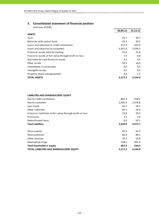# **3. Consolidated statement of financial position**

| (millions of EUR)                                     |          |          |
|-------------------------------------------------------|----------|----------|
|                                                       | 30.09.12 | 31.12.11 |
| <b>ASSETS</b>                                         |          |          |
| Cash                                                  | 43.7     | 38.7     |
| Balances with central bank                            | 26.3     | 49.5     |
| Loans and advances to credit institutions             | 413.9    | 423.0    |
| Loans and advances to customers                       | 3,567.6  | 3,540.5  |
| Financial assets held for trading                     | 22.6     | 21.0     |
| Financial assets at fair value through profit or loss | 7.4      | 0.0      |
| Available-for-sale financial assets                   | 5.4      | 4.9      |
| Other assets                                          | 30.5     | 18.0     |
| Investments in associates                             | 0.6      | 0.5      |
| Intangible assets                                     | 0.3      | 0.4      |
| Property, plant and equipment                         | 9.0      | 7.5      |
| <b>TOTAL ASSETS</b>                                   | 4,127.3  | 4,104.0  |

#### **LIABILITIES AND SHAREHOLDERS' EQUITY**

| Due to credit institutions                                 | 802.2   | 948.5   |
|------------------------------------------------------------|---------|---------|
| Due to customers                                           | 2,505.9 | 2,378.8 |
| Loan funds                                                 | 24.7    | 18.1    |
| Other liabilities                                          | 83.1    | 54.8    |
| Financial liabilities at fair value through profit or loss | 22.8    | 20.5    |
| Provisions                                                 | 1.2     | 2.9     |
| Subordinated loans                                         | 0.0     | 50.1    |
| <b>Total Liabilities</b>                                   | 3,439.9 | 3,473.7 |
| Share capital                                              | 42.5    | 42.5    |
| Share premium                                              | 86.3    | 86.1    |
| Other reserves                                             | 20.1    | 19.8    |
| Retained earnings                                          | 538.5   | 481.9   |
| Total shareholders' equity                                 | 687.4   | 630.3   |
| <b>TOTAL LIABILITIES AND SHAREHOLDERS' EQUITY</b>          | 4,127.3 | 4,104.0 |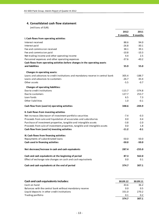#### **4. Consolidated cash flow statement**

|                                                                                 | 2012     | 2011     |
|---------------------------------------------------------------------------------|----------|----------|
|                                                                                 | 9 months | 9 months |
| I. Cash flows from operating activities                                         |          |          |
| Interest received                                                               | 88.6     | 94.0     |
| Interest paid                                                                   | $-26.8$  | $-30.1$  |
| Fee and commission received                                                     | 38.1     | 39.1     |
| Fee and commission paid                                                         | $-10.8$  | $-10.3$  |
| Net trading income and other operating income                                   | 4.4      | 2.5      |
| Personnel expenses and other operating expenses                                 | $-37.6$  | $-40.2$  |
| Cash flows from operating activities before changes in the operating assets     |          |          |
| and liabilities                                                                 | 55.9     | 55.0     |
| Changes in operating assets:                                                    |          |          |
| Loans and advances to credit institutions and mandatory reserve in central bank | 305.4    | $-188.7$ |
| Loans and advances to customers                                                 | $-26.7$  | 43.4     |
| Other assets                                                                    | $-5.5$   | $-0.7$   |
|                                                                                 |          |          |
| <b>Changes of operating liabilities:</b>                                        |          |          |
| Due to credit institutions                                                      | $-115.7$ | $-374.8$ |
| Due to customers                                                                | 127.7    | 253.7    |
| Loan funds                                                                      | 6.5      | 7.3      |
| Other liabilities                                                               | 1.0      | $-0.1$   |
| Cash flow from (used in) operating activities                                   | 348.6    | $-204.9$ |
| II. Cash flows from investing activities                                        |          |          |
| Net increase-/decrease+ of investment portfolio securities                      | $-7.4$   | $-0.3$   |
| Proceeds from sale and liquidation of associates and subsidiaries               | 0.0      | 0.4      |
| Purchase of investment properties, tangible and intangible assets               | $-3.8$   | $-2.0$   |
| Proceeds from sale of investment properties, tangible and intangible assets     | 0.0      | 1.8      |
| Cash flow from (used in) investing activities                                   | $-11.2$  | $-0.1$   |
| III. Cash flows from financing activities                                       |          |          |
| Repayments of subordinated loans                                                | $-50.0$  | $-50.0$  |
| Cash used in financing activities                                               | $-50.0$  | $-50.0$  |
|                                                                                 |          |          |
| Net decrease/increase in cash and cash equivalents                              | 287.4    | $-255.0$ |
| Cash and cash equivalents at the beginning of period                            | 87.3     | 562.0    |
| Effect of exchange rate changes on cash and cash equivalents                    | 0.0      | 0.1      |
| Cash and cash equivalents at the end of period                                  | 374.7    | 307.1    |
|                                                                                 |          |          |

| Cash and cash equivalents includes:                      | 30.09.12 | 30.09.11 |
|----------------------------------------------------------|----------|----------|
| Cash on hand                                             | 43.6     | 36.2     |
| Balances with the central bank without mandatory reserve | 0.0      | 0.5      |
| Liquid deposits in other credit institutions             | 331.0    | 270.2    |
| Trading portfolio                                        | 0.1      | 0.2      |
|                                                          | 374.7    | 307.1    |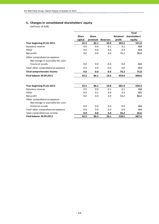# **5. Changes in consolidated shareholders' equity**

|                                                                  |              |              |                 |                 | <b>Total</b>  |
|------------------------------------------------------------------|--------------|--------------|-----------------|-----------------|---------------|
|                                                                  | <b>Share</b> | <b>Share</b> |                 | <b>Retained</b> | shareholders' |
|                                                                  | capital      | premium      | <b>Reserves</b> | profit          | equity        |
| Year beginning 01.01.2011                                        | 42.5         | 86.1         | 20.0            | 383.2           | 531.8         |
| Statutory reserve                                                | 0.0          | 0.0          | $-0.1$          | 0.1             | 0.0           |
| Other                                                            | 0.0          | 0.0          | 0.0             | 0.4             | 0.4           |
| Net profit                                                       | 0.0          | 0.0          | 0.0             | 76.2            | 76.2          |
| Other comprehensive expense:<br>Net change in available-for-sale |              |              |                 |                 |               |
| financial assets                                                 | 0.0          | 0.0          | $-0.4$          | 0.0             | $-0.4$        |
| Total other comprehensive expense                                | 0.0          | 0.0          | $-0.4$          | 0.0             | $-0.4$        |
| <b>Total comprehensive income</b>                                | 0.0          | 0.0          | $-0.4$          | 76.2            | 75.8          |
| <b>Final balance 30.09.2011</b>                                  | 42.5         | 86.1         | 19.5            | 459.9           | 608.0         |
| Year beginning 01.01.2012                                        | 42.5         | 86.1         | 19.8            | 481.9           | 630.3         |
| Statutory reserve                                                | 0.0          | 0.0          | $-0.1$          | 0.1             | 0.0           |
| Other                                                            | 0.0          | 0.2          | 0.0             | 0.3             | 0.5           |
| Net profit                                                       | 0.0          | 0.0          | 0.0             | 56.2            | 56.2          |
| Other comprehensive expense:<br>Net change in available-for-sale |              |              |                 |                 |               |
| financial assets                                                 | 0.0          | 0.0          | 0.4             | 0.0             | 0.4           |
| Total other comprehensive expense                                | 0.0          | 0.0          | 0.4             | 0.0             | 0.4           |
| Total comprehensive income                                       | 0.0          | 0.0          | 0.4             | 56.2            | 56.6          |
| <b>Final balance 30.09.2012</b>                                  | 42.5         | 86.3         | 20.1            | 538.5           | 687.4         |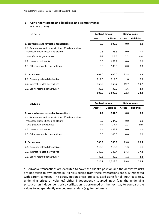# **6. Contingent assets and liabilities and commitments**

(millions of EUR)

| 30.09.12                                                                                   | <b>Contract amount</b> | <b>Balance value</b> |               |                    |
|--------------------------------------------------------------------------------------------|------------------------|----------------------|---------------|--------------------|
|                                                                                            | <b>Assets</b>          | Liabilities          | <b>Assets</b> | <b>Liabilities</b> |
| 1. Irrevocable and revocable transactions                                                  | 7.3                    | 997.2                | 0.0           | 0.0                |
| 1.1. Guarantees and other similar off-balance sheet<br>irrovocable liabilitieas and claims | 0.8                    | 228.5                | 0.0           | 0.0                |
| incl. financial guarantees                                                                 | 0.0                    | 52.7                 | 0.0           | 0.0                |
| 1.2. Loan commitments                                                                      | 6.5                    | 668.7                | 0.0           | 0.0                |
| 1.3. Other revocable transactions                                                          | 0.0                    | 100.0                | 0.0           | 0.0                |
| 2. Derivatives                                                                             | 601.0                  | 600.0                | 22.3          | 22.8               |
| 2.1. Currency related derivatives                                                          | 211.6                  | 211.3                | 1.0           | 0.8                |
| 2.2. Interest related derivatives                                                          | 358.9                  | 358.7                | 19.7          | 19.7               |
| 2.3. Equity related derivatives*                                                           | 30.5                   | 30.0                 | 1.6           | 2.3                |
|                                                                                            | 608.3                  | 1,597.2              | 22.3          | 22.8               |

| 31.12.11                                                                                                                 | <b>Contract amount</b> |               | <b>Balance value</b> |                    |  |
|--------------------------------------------------------------------------------------------------------------------------|------------------------|---------------|----------------------|--------------------|--|
|                                                                                                                          | <b>Assets</b>          | Liabilities   | <b>Assets</b>        | <b>Liabilities</b> |  |
| 1. Irrevocable and revocable transactions                                                                                | 7.2                    | 707.6         | 0.0                  | 0.0                |  |
| 1.1. Guarantees and other similar off-balance sheet<br>irrovocable liabilitieas and claims<br>incl. financial guarantees | 0.7<br>0.0             | 244.7<br>76.5 | 0.0<br>0.0           | 0.0<br>0.0         |  |
| 1.2. Loan commitments                                                                                                    | 6.5                    | 362.9         | 0.0                  | 0.0                |  |
| 1.3. Other revocable transactions                                                                                        | 0.0                    | 100.0         | 0.0                  | 0.0                |  |
| 2. Derivatives                                                                                                           | 506.9                  | 505.9         | 19.8                 | 20.5               |  |
| 2.1. Currency related derivatives                                                                                        | 119.8                  | 119.5         | 1.3                  | 1.1                |  |
| 2.2. Interest related derivatives                                                                                        | 346.5                  | 346.4         | 17.3                 | 17.2               |  |
| 2.3. Equity related derivatives*                                                                                         | 40.6                   | 40.0          | 1.2                  | 2.2                |  |
|                                                                                                                          | 514.1                  | 1,213.5       | 19.8                 | 20.5               |  |

\* Derivative transactions are executed to cover the client's position and the derivative risks are not taken to own portfolio. All risks arising from these transactions are fully mitigated with parent company. The equity option prices are calculated using for all input data (e.g. underlying prices or volumes) either independently sourced input (e.g. the underlying prices) or an independent price verification is performed on the next day to compare the values to independently sourced market data (e.g. for volumes).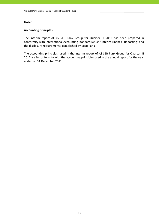# **Accounting principles**

The interim report of AS SEB Pank Group for Quarter III 2012 has been prepared in conformity with International Accounting Standard IAS 34 "Interim Financial Reporting" and the disclosure requirements, established by Eesti Pank.

The accounting principles, used in the interim report of AS SEB Pank Group for Quarter III 2012 are in conformity with the accounting principles used in the annual report for the year ended on 31 December 2011.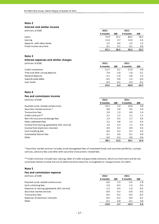#### **Interest and similar income**

(millions of EUR) **2012 2011**

|                           | 9 months | QIII | 9 months | QIII |
|---------------------------|----------|------|----------|------|
| Loans                     | 72.9     | 22.1 | 80.3     | 28.2 |
| Leasing                   | 11.6     | 3.7  | 12.6     | 4.3  |
| Deposits with other banks | 2.5      | 0.6  | 2.5      | 1.2  |
| Fixed income securities   | 0.1      | 0.1  | 0.1      | 0.0  |
|                           | 87.1     | 26.5 | 95.5     | 33.7 |

#### **Note 3**

#### **Interest expenses and similar charges** (millions of EUR) **2012 2011**

| . <del>.</del>                 |          |        |          |        |
|--------------------------------|----------|--------|----------|--------|
|                                | 9 months | QIII   | 9 months | QIII   |
| Credit institutions            | $-11.7$  | $-3.1$ | $-17.0$  | $-5.6$ |
| Time and other saving deposits | $-7.8$   | $-2.0$ | $-7.6$   | $-3.1$ |
| Demand deposits                | $-3.1$   | $-1.0$ | $-3.6$   | $-1.5$ |
| Subordinated debts             | $-0.5$   | 0.0    | $-1.5$   | $-0.4$ |
| Loan funds                     | $-0.4$   | $-0.2$ | $-0.3$   | $-0.1$ |
|                                | $-23.5$  | $-6.3$ | -30.0    | -10.7  |

#### **Note 4**

#### **Fee and commission income**

(millions of EUR) **2012 2011**

|                                               | 9 months | QIII | 9 months | QIII |
|-----------------------------------------------|----------|------|----------|------|
| Payment cards related commissions             | 15.2     | 5.4  | 14.6     | 4.8  |
| Securities market services *                  | 8.8      | 3.0  | 9.5      | 3.0  |
| <b>Transaction fees</b>                       | 3.9      | 1.3  | 4.0      | 1.4  |
| Credit contracts**                            | 3.1      | 1.2  | 3.1      | 1.1  |
| Non-life insurance brokerage fees             | 1.4      | 0.5  | 2.7      | 0.3  |
| Other settlement fees                         | 2.2      | 0.8  | 1.5      | 0.5  |
| Income from leasing agreements (full service) | 1.0      | 0.3  | 1.1      | 0.3  |
| Income from electronic channels               | 0.9      | 0.3  | 0.9      | 0.3  |
| Cash handling fees                            | 0.6      | 0.2  | 0.7      | 0.3  |
| Commodity futures fees                        | 0.1      | 0.0  | 0.1      | 0.0  |
| Other                                         | 0.9      | 0.3  | 0.9      | 0.4  |
|                                               | 38.1     | 13.3 | 39.1     | 12.4 |

\* Securities market services includes asset management fees of investment funds and securties portfolios, custody services, advisory fees and other with securities transactions related fees.

\*\* Credit contracts include loan, leasing, letter of credit and guarantee contracts, which are short‐term and do not constitute interest income, but are of administrative nature for arrangement or reorganisation of credits.

#### **Note 5**

| Fee and commission expense                    |          |        |          |        |
|-----------------------------------------------|----------|--------|----------|--------|
| (millions of EUR)                             | 2012     |        | 2011     |        |
|                                               | 9 months | QIII   | 9 months | QIII   |
| Payment cards related commissions             | $-6.6$   | $-2.3$ | $-5.5$   | $-1.8$ |
| Cash collecting fees                          | $-1.0$   | $-0.3$ | $-1.5$   | $-0.5$ |
| Expenses to leasing agreements (full service) | $-1.3$   | $-0.4$ | $-1.4$   | $-0.5$ |
| Securities market services                    | $-0.9$   | $-0.3$ | $-0.9$   | $-0.3$ |
| <b>Transaction fees</b>                       | $-0.5$   | $-0.2$ | $-0.5$   | $-0.2$ |
| Expenses of electronic channels               | $-0.4$   | $-0.2$ | $-0.4$   | $-0.1$ |
| Other                                         | $-0.1$   | 0.0    | $-0.1$   | 0.0    |
|                                               | $-10.8$  | $-3.7$ | $-10.3$  | $-3.4$ |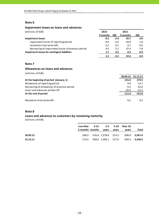#### **Impairment losses on loans and advances**

| (millions of EUR)                                  | 2012     |        | 2011     |        |
|----------------------------------------------------|----------|--------|----------|--------|
|                                                    | 9 months | QIII   | 9 months | QIII   |
| <b>Impairment losses</b>                           | $-0.2$   | $-2.4$ | 26.7     | 6.0    |
| impairment losses of reporting period              | $-9.9$   | $-5.6$ | $-10.8$  | $-1.8$ |
| recoveries from write-offs                         | 0.2      | 0.1    | 0.1      | 0.0    |
| decreasing of impairment losses of previous period | 9.5      | 3.1    | 37.4     | 7.8    |
| Impairment losses for contingent liabilities       | 1.7      | 0.2    | $-4.3$   | 0.9    |
|                                                    | 1.5      | $-2.2$ | 22.4     | 6.9    |

# **Note 7**

# **Allowances on loans and advances**

(millions of EUR)

|                                             | 30.09.12 | 31.12.11 |
|---------------------------------------------|----------|----------|
| At the beginning of period (January, 1)     | 131.0    | 179.5    |
| Allowances of reporting period              | 9.9      | 14.7     |
| Decreasing of allowances of previous period | $-9.5$   | $-42.0$  |
| Loans and advances written off              | $-20.4$  | $-21.2$  |
| At the end of period                        | 111.0    | 131.0    |
|                                             |          |          |
| Recoveries from write-offs                  | 0.2      | 0.2      |

# **Note 8**

#### **Loans and advances to customers by remaining maturity**

|          | Less than $3-12$ 1-5 5-10 Over 10 |       |       |                                         |       |
|----------|-----------------------------------|-------|-------|-----------------------------------------|-------|
|          | 3 months months                   | vears | vears | vears                                   | Total |
| 30.09.12 |                                   |       |       | 268.3 510.4 1,378.8 513.3 896.8 3,567.6 |       |
| 31.12.11 |                                   |       |       | 174.2 509.0 1,390.1 517.9 949.3 3,540.5 |       |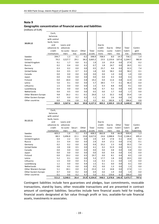#### **Geographic concentration of financial assets and liabilities**

(millions of EUR)

|                      | Cash,<br>balances<br>with central |           |         |        |         |          |         |          |          |             |
|----------------------|-----------------------------------|-----------|---------|--------|---------|----------|---------|----------|----------|-------------|
|                      | bank, loans                       |           |         |        |         |          |         |          |          |             |
| 30.09.12             | and                               | Loans and |         |        |         | Due to   |         |          |          |             |
|                      | advances to                       | advances  |         |        |         | credit   | Due to  | Other    | Total    | Contin-     |
|                      | credit                            | to custo- | Securi- | Other  | Total   | institu- | custo-  | liabili- | liabili- | gent        |
|                      | institutions                      | mers      | ti es   | assets | assets  | tions    | mers    | ties     | ties     | liabilities |
| Sweden               | 394.7                             | 1.3       | 3.1     | $-0.2$ | 398.9   | 708.4    | 8.0     | 19.7     | 736.1    | 1.4         |
| Estonia              | 70.2                              | 3,527.7   | 29.1    | 38.2   | 3,665.2 | 23.5     | 2,133.6 | 107.6    | 2,264.7  | 982.8       |
| United Kingdom       | 0.1                               | 1.7       | 0.0     | 0.1    | 1.9     | 2.0      | 25.9    | 0.0      | 27.9     | 0.2         |
| Russia               | 0.2                               | 0.4       | 0.0     | 0.1    | 0.7     | 1.8      | 24.7    | 0.0      | 26.5     | 0.1         |
| Germany              | 0.3                               | 0.2       | 0.0     | 0.0    | 0.5     | 25.7     | 6.6     | 0.0      | 32.3     | 7.4         |
| <b>United States</b> | 0.4                               | 0.5       | 0.7     | 0.2    | 1.8     | 0.0      | 58.2    | 0.0      | 58.2     | 0.1         |
| Canada               | 0.0                               | 0.0       | 0.0     | 0.0    | 0.0     | 0.0      | 1.0     | 0.0      | 1.0      | 0.0         |
| Japan                | 0.0                               | 0.0       | 0.0     | 0.0    | 0.0     | 0.0      | 0.3     | 0.0      | 0.3      | 0.0         |
| Finland              | 0.0                               | 18.4      | 0.0     | 0.8    | 19.2    | 0.0      | 11.6    | 0.8      | 12.4     | 2.8         |
| Latvia               | 5.6                               | 0.1       | 0.0     | 0.0    | 5.7     | 38.5     | 7.7     | 0.1      | 46.3     | 0.0         |
| Lithuania            | 1.5                               | 0.0       | 0.0     | 0.0    | 1.5     | 0.3      | 8.8     | 0.0      | 9.1      | 0.0         |
| Luxembourg           | 0.4                               | 0.0       | 0.0     | 0.4    | 0.8     | 0.7      | 0.2     | 0.0      | 0.9      | 0.0         |
| Netherlands          | 0.0                               | 0.5       | 0.0     | 0.0    | 0.5     | 0.0      | 1.7     | 0.0      | 1.7      | 0.0         |
| Other Western Europe | 9.8                               | 16.2      | 0.1     | $-0.1$ | 26.0    | 1.2      | 32.2    | 0.0      | 33.4     | 1.6         |
| Other Eastern Europe | 0.7                               | 0.0       | 0.2     | 0.2    | 1.1     | 0.0      | 2.6     | 0.0      | 2.6      | 0.0         |
| Other countries      | 0.0                               | 0.6       | 2.8     | 0.1    | 3.5     | 0.1      | 182.8   | 3.7      | 186.6    | 0.8         |
|                      | 483.9                             | 3,567.6   | 36.0    | 39.8   | 4,127.3 | 802.2    | 2,505.9 | 131.9    | 3,440.0  | 997.2       |

| 31.12.11             | Cash,<br>balances |           |         |        |         |          |         |          |          |             |
|----------------------|-------------------|-----------|---------|--------|---------|----------|---------|----------|----------|-------------|
|                      | with central      |           |         |        |         |          |         |          |          |             |
|                      |                   |           |         |        |         |          |         |          |          |             |
|                      | bank, loans       |           |         |        |         |          |         |          |          |             |
|                      | and               | Loans and |         |        |         | Due to   |         |          |          |             |
|                      | advances to       | advances  |         |        |         | credit   | Due to  | Other    | Total    | Contin-     |
|                      | credit            | to custo- | Securi- | Other  | Total   | institu- | custo-  | liabili- | liabili- | gent        |
|                      | institutions      | mers      | ti es   | assets | assets  | tions    | mers    | ties     | ties     | liabilities |
| Sweden               | 403.3             | 1.6       | 3.1     | 0.3    | 408.3   | 862.8    | 9.8     | 66.8     | 939.4    | 1.3         |
| Estonia              | 88.3              | 3,496.8   | 22.1    | 19.8   | 3,627.0 | 24.6     | 2,088.8 | 73.0     | 2,186.4  | 695.4       |
| United Kingdom       | 0.4               | 2.2       | 0.3     | 0.0    | 2.9     | 6.9      | 17.8    | 0.1      | 24.8     | 0.2         |
| Russia               | 2.5               | 0.4       | 0.0     | 0.0    | 2.9     | 0.4      | 17.2    | 0.0      | 17.6     | 0.1         |
| Germany              | 0.2               | 0.2       | 0.0     | 0.0    | 0.4     | 33.2     | 2.3     | 0.0      | 35.5     | 7.4         |
| <b>United States</b> | 2.8               | 0.8       | 0.5     | 0.0    | 4.1     | 0.2      | 51.9    | 0.0      | 52.1     | 0.1         |
| Canada               | 0.0               | 0.0       | 0.0     | 0.0    | 0.0     | 0.0      | 0.8     | 0.0      | 0.8      | 0.0         |
| Japan                | 0.0               | 0.0       | 0.0     | 0.0    | 0.0     | 0.0      | 0.4     | 0.0      | 0.4      | 0.0         |
| Finland              | 0.0               | 19.2      | 0.0     | 0.5    | 19.7    | 0.0      | 8.1     | 0.4      | 8.5      | 2.0         |
| Latvia               | 5.2               | 0.1       | 0.0     | 0.0    | 5.3     | 17.7     | 1.8     | 0.0      | 19.5     | 0.0         |
| Lithuania            | 1.5               | 0.0       | 0.0     | 0.1    | 1.6     | 0.3      | 2.1     | 0.0      | 2.4      | 0.0         |
| Luxembourg           | 1.1               | 0.0       | 0.0     | 0.4    | 1.5     | 0.1      | 0.0     | 0.0      | 0.1      | 0.0         |
| Netherlands          | 0.0               | 0.5       | 0.0     | 0.0    | 0.5     | 0.0      | 1.3     | 0.0      | 1.3      | 0.0         |
| Other Western Europe | 5.1               | 18.1      | 0.0     | 0.1    | 23.3    | 2.2      | 14.8    | 0.0      | 17.0     | 1.1         |
| Other Eastern Europe | 0.7               | 0.0       | 0.2     | 0.0    | 0.9     | 0.0      | 1.9     | 0.0      | 1.9      | 0.0         |
| Other countries      | 0.1               | 0.6       | 0.2     | 4.7    | 5.6     | 0.1      | 159.8   | 6.1      | 166.0    | 0.0         |
|                      | 511.2             | 3,540.5   | 26.4    | 25.9   | 4,104.0 | 948.5    | 2,378.8 | 146.4    | 3,473.7  | 707.6       |

Contingent liabilities include here guarantees and pledges, loan commitments, revocable transactions, stand‐by loans, other revocable transactions and are presented in contract amount of contingent liabilities. Securities include here financial assets held for trading, financial assets designated at fair value through profit or loss, available‐for‐sale financial assets, investments in associates.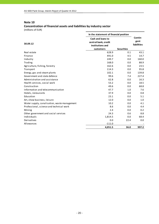# **Concentration of financial assets and liabilities by industry sector**

|                                              | In the statement of financial position                                     |                   |                                |  |
|----------------------------------------------|----------------------------------------------------------------------------|-------------------|--------------------------------|--|
| 30.09.12                                     | Cash and loans to<br>central bank, credit<br>institutions and<br>customers | <b>Securities</b> | Contin-<br>gent<br>liabilities |  |
| Real estate                                  | 628.9                                                                      | 0.1               | 43.1                           |  |
| Finance                                      | 491.0                                                                      | 4.5               | 14.7                           |  |
| Industry                                     | 249.7                                                                      | 0.0               | 160.0                          |  |
| Trading                                      | 168.0                                                                      | 0.0               | 88.9                           |  |
| Agriculture, fishing, forestry               | 162.6                                                                      | 0.0               | 23.5                           |  |
| Transport                                    | 114.3                                                                      | 0.0               | 95.8                           |  |
| Energy, gas and steam plants                 | 102.1                                                                      | 0.0               | 139.8                          |  |
| Government and state defence                 | 99.6                                                                       | 7.4               | 227.4                          |  |
| Administration and assistance                | 62.8                                                                       | 0.0               | 16.3                           |  |
| Health services, social work                 | 53.2                                                                       | 0.0               | 18.5                           |  |
| Construction                                 | 49.6                                                                       | 0.0               | 68.8                           |  |
| Information and telecommunication            | 47.7                                                                       | 1.0               | 7.6                            |  |
| Hotels, restaurants                          | 37.9                                                                       | 0.0               | 0.8                            |  |
| Education                                    | 23.1                                                                       | 0.0               | 5.1                            |  |
| Art, show business, leisure                  | 12.0                                                                       | 0.0               | 1.0                            |  |
| Water supply, canalisation, waste management | 10.2                                                                       | 0.0               | 4.1                            |  |
| Professional, science and technical work     | 8.6                                                                        | 0.0               | 4.4                            |  |
| Mining                                       | 2.4                                                                        | 0.0               | 0.2                            |  |
| Other government and social services         | 24.3                                                                       | 0.6               | 8.8                            |  |
| Individuals                                  | 1,814.5                                                                    | 0.0               | 68.4                           |  |
| Derivatives                                  | 0.0                                                                        | 22.4              | 0.0                            |  |
| Allowances                                   | $-111.0$                                                                   |                   |                                |  |
|                                              | 4,051.5                                                                    | 36.0              | 997.2                          |  |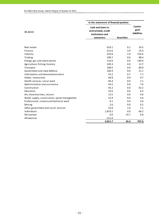|                                              | In the statement of financial position                                     |                   |                                       |
|----------------------------------------------|----------------------------------------------------------------------------|-------------------|---------------------------------------|
| 31.12.11                                     | Cash and loans to<br>central bank, credit<br>institutions and<br>customers | <b>Securities</b> | Contin-<br>gent<br><b>liabilities</b> |
|                                              |                                                                            |                   |                                       |
| Real estate                                  | 629.1                                                                      | 0.1               | 20.5                                  |
| Finance                                      | 515.6                                                                      | 3.9               | 15.4                                  |
| Industry                                     | 259.6                                                                      | 1.0               | 154.4                                 |
| Trading                                      | 198.7                                                                      | 0.0               | 88.4                                  |
| Energy, gas and steam plants                 | 116.6                                                                      | 0.0               | 140.4                                 |
| Agriculture, fishing, forestry               | 109.3                                                                      | 0.0               | 12.7                                  |
| Transport                                    | 108.5                                                                      | 0.0               | 80.0                                  |
| Government and state defence                 | 106.9                                                                      | 0.0               | 21.1                                  |
| Information and telecommunication            | 53.2                                                                       | 0.7               | 7.7                                   |
| Hotels, restaurants                          | 46.8                                                                       | 0.0               | 0.7                                   |
| Health services, social work                 | 46.4                                                                       | 0.0               | 7.1                                   |
| Administration and assistance                | 44.5                                                                       | 0.0               | 7.6                                   |
| Construction                                 | 43.2                                                                       | 0.0               | 63.2                                  |
| Education                                    | 23.0                                                                       | 0.0               | 6.3                                   |
| Art, show business, leisure                  | 15.5                                                                       | 0.0               | 0.6                                   |
| Water supply, canalisation, waste management | 12.9                                                                       | 0.0               | 4.4                                   |
| Professional, science and technical work     | 9.1                                                                        | 0.0               | 3.6                                   |
| Mining                                       | 2.6                                                                        | 0.0               | 0.2                                   |
| Other government and social services         | 22.0                                                                       | 1.0               | 7.1                                   |
| Individuals                                  | 1,819.2                                                                    | 0.0               | 66.2                                  |
| Derivatives                                  | 0.0                                                                        | 19.7              | 0.0                                   |
| Allowances                                   | $-131.0$                                                                   |                   |                                       |
|                                              | 4,051.7                                                                    | 26.4              | 707.6                                 |